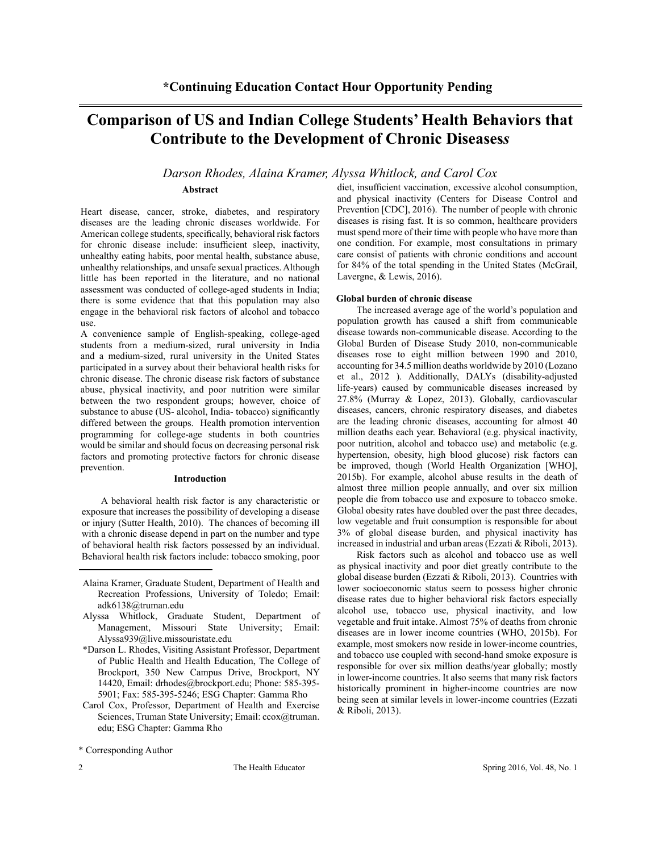# **Comparison of US and Indian College Students' Health Behaviors that Contribute to the Development of Chronic Diseases***s*

# *Darson Rhodes, Alaina Kramer, Alyssa Whitlock, and Carol Cox*

## **Abstract**

Heart disease, cancer, stroke, diabetes, and respiratory diseases are the leading chronic diseases worldwide. For American college students, specifically, behavioral risk factors for chronic disease include: insufficient sleep, inactivity, unhealthy eating habits, poor mental health, substance abuse, unhealthy relationships, and unsafe sexual practices. Although little has been reported in the literature, and no national assessment was conducted of college-aged students in India; there is some evidence that that this population may also engage in the behavioral risk factors of alcohol and tobacco use.

A convenience sample of English-speaking, college-aged students from a medium-sized, rural university in India and a medium-sized, rural university in the United States participated in a survey about their behavioral health risks for chronic disease. The chronic disease risk factors of substance abuse, physical inactivity, and poor nutrition were similar between the two respondent groups; however, choice of substance to abuse (US- alcohol, India- tobacco) significantly differed between the groups. Health promotion intervention programming for college-age students in both countries would be similar and should focus on decreasing personal risk factors and promoting protective factors for chronic disease prevention.

## **Introduction**

A behavioral health risk factor is any characteristic or exposure that increases the possibility of developing a disease or injury (Sutter Health, 2010). The chances of becoming ill with a chronic disease depend in part on the number and type of behavioral health risk factors possessed by an individual. Behavioral health risk factors include: tobacco smoking, poor

- Alyssa Whitlock, Graduate Student, Department of Management, Missouri State University; Email: Alyssa939@live.missouristate.edu
- \*Darson L. Rhodes, Visiting Assistant Professor, Department of Public Health and Health Education, The College of Brockport, 350 New Campus Drive, Brockport, NY 14420, Email: drhodes@brockport.edu; Phone: 585-395- 5901; Fax: 585-395-5246; ESG Chapter: Gamma Rho
- Carol Cox, Professor, Department of Health and Exercise Sciences, Truman State University; Email: ccox@truman. edu; ESG Chapter: Gamma Rho

diet, insufficient vaccination, excessive alcohol consumption, and physical inactivity (Centers for Disease Control and Prevention [CDC], 2016). The number of people with chronic diseases is rising fast. It is so common, healthcare providers must spend more of their time with people who have more than one condition. For example, most consultations in primary care consist of patients with chronic conditions and account for 84% of the total spending in the United States (McGrail, Lavergne, & Lewis, 2016).

### **Global burden of chronic disease**

The increased average age of the world's population and population growth has caused a shift from communicable disease towards non-communicable disease. According to the Global Burden of Disease Study 2010, non-communicable diseases rose to eight million between 1990 and 2010, accounting for 34.5 million deaths worldwide by 2010 (Lozano et al., 2012 ). Additionally, DALYs (disability-adjusted life-years) caused by communicable diseases increased by 27.8% (Murray & Lopez, 2013). Globally, cardiovascular diseases, cancers, chronic respiratory diseases, and diabetes are the leading chronic diseases, accounting for almost 40 million deaths each year. Behavioral (e.g. physical inactivity, poor nutrition, alcohol and tobacco use) and metabolic (e.g. hypertension, obesity, high blood glucose) risk factors can be improved, though (World Health Organization [WHO], 2015b). For example, alcohol abuse results in the death of almost three million people annually, and over six million people die from tobacco use and exposure to tobacco smoke. Global obesity rates have doubled over the past three decades, low vegetable and fruit consumption is responsible for about 3% of global disease burden, and physical inactivity has increased in industrial and urban areas (Ezzati & Riboli, 2013).

Risk factors such as alcohol and tobacco use as well as physical inactivity and poor diet greatly contribute to the global disease burden (Ezzati & Riboli, 2013). Countries with lower socioeconomic status seem to possess higher chronic disease rates due to higher behavioral risk factors especially alcohol use, tobacco use, physical inactivity, and low vegetable and fruit intake. Almost 75% of deaths from chronic diseases are in lower income countries (WHO, 2015b). For example, most smokers now reside in lower-income countries, and tobacco use coupled with second-hand smoke exposure is responsible for over six million deaths/year globally; mostly in lower-income countries. It also seems that many risk factors historically prominent in higher-income countries are now being seen at similar levels in lower-income countries (Ezzati & Riboli, 2013).

Alaina Kramer, Graduate Student, Department of Health and Recreation Professions, University of Toledo; Email: adk6138@truman.edu

<sup>\*</sup> Corresponding Author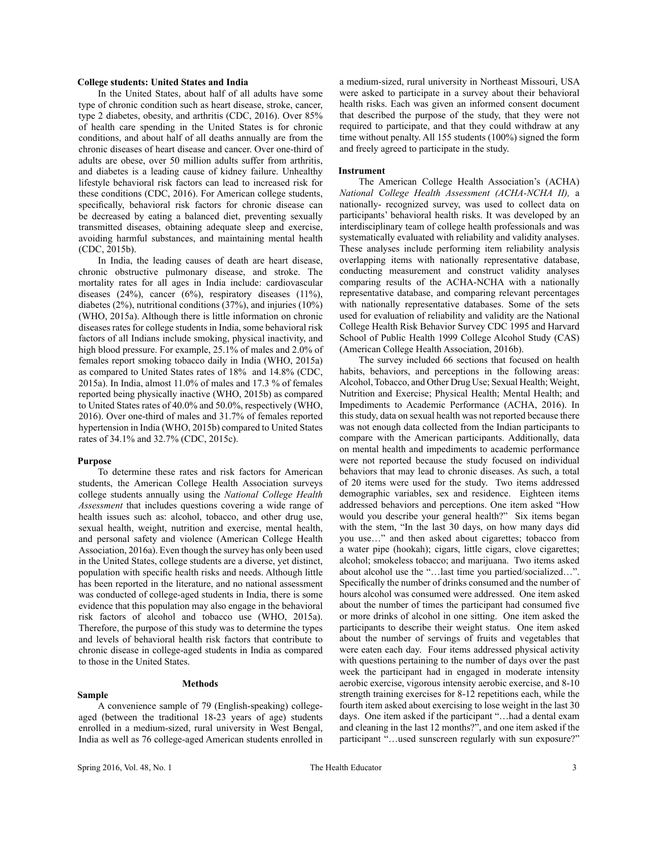#### **College students: United States and India**

In the United States, about half of all adults have some type of chronic condition such as heart disease, stroke, cancer, type 2 diabetes, obesity, and arthritis (CDC, 2016). Over 85% of health care spending in the United States is for chronic conditions, and about half of all deaths annually are from the chronic diseases of heart disease and cancer. Over one-third of adults are obese, over 50 million adults suffer from arthritis, and diabetes is a leading cause of kidney failure. Unhealthy lifestyle behavioral risk factors can lead to increased risk for these conditions (CDC, 2016). For American college students, specifically, behavioral risk factors for chronic disease can be decreased by eating a balanced diet, preventing sexually transmitted diseases, obtaining adequate sleep and exercise, avoiding harmful substances, and maintaining mental health (CDC, 2015b).

In India, the leading causes of death are heart disease, chronic obstructive pulmonary disease, and stroke. The mortality rates for all ages in India include: cardiovascular diseases  $(24\%)$ , cancer  $(6\%)$ , respiratory diseases  $(11\%)$ , diabetes (2%), nutritional conditions (37%), and injuries (10%) (WHO, 2015a). Although there is little information on chronic diseases rates for college students in India, some behavioral risk factors of all Indians include smoking, physical inactivity, and high blood pressure. For example, 25.1% of males and 2.0% of females report smoking tobacco daily in India (WHO, 2015a) as compared to United States rates of 18% and 14.8% (CDC, 2015a). In India, almost 11.0% of males and 17.3 % of females reported being physically inactive (WHO, 2015b) as compared to United States rates of 40.0% and 50.0%, respectively (WHO, 2016). Over one-third of males and 31.7% of females reported hypertension in India (WHO, 2015b) compared to United States rates of 34.1% and 32.7% (CDC, 2015c).

#### **Purpose**

To determine these rates and risk factors for American students, the American College Health Association surveys college students annually using the *National College Health Assessment* that includes questions covering a wide range of health issues such as: alcohol, tobacco, and other drug use, sexual health, weight, nutrition and exercise, mental health, and personal safety and violence (American College Health Association, 2016a). Even though the survey has only been used in the United States, college students are a diverse, yet distinct, population with specific health risks and needs. Although little has been reported in the literature, and no national assessment was conducted of college-aged students in India, there is some evidence that this population may also engage in the behavioral risk factors of alcohol and tobacco use (WHO, 2015a). Therefore, the purpose of this study was to determine the types and levels of behavioral health risk factors that contribute to chronic disease in college-aged students in India as compared to those in the United States.

#### **Methods**

A convenience sample of 79 (English-speaking) collegeaged (between the traditional 18-23 years of age) students enrolled in a medium-sized, rural university in West Bengal, India as well as 76 college-aged American students enrolled in a medium-sized, rural university in Northeast Missouri, USA were asked to participate in a survey about their behavioral health risks. Each was given an informed consent document that described the purpose of the study, that they were not required to participate, and that they could withdraw at any time without penalty. All 155 students (100%) signed the form and freely agreed to participate in the study.

### **Instrument**

The American College Health Association's (ACHA) *National College Health Assessment (ACHA-NCHA II),* a nationally- recognized survey, was used to collect data on participants' behavioral health risks. It was developed by an interdisciplinary team of college health professionals and was systematically evaluated with reliability and validity analyses. These analyses include performing item reliability analysis overlapping items with nationally representative database, conducting measurement and construct validity analyses comparing results of the ACHA-NCHA with a nationally representative database, and comparing relevant percentages with nationally representative databases. Some of the sets used for evaluation of reliability and validity are the National College Health Risk Behavior Survey CDC 1995 and Harvard School of Public Health 1999 College Alcohol Study (CAS) (American College Health Association, 2016b).

The survey included 66 sections that focused on health habits, behaviors, and perceptions in the following areas: Alcohol, Tobacco, and Other Drug Use; Sexual Health; Weight, Nutrition and Exercise; Physical Health; Mental Health; and Impediments to Academic Performance (ACHA, 2016). In this study, data on sexual health was not reported because there was not enough data collected from the Indian participants to compare with the American participants. Additionally, data on mental health and impediments to academic performance were not reported because the study focused on individual behaviors that may lead to chronic diseases. As such, a total of 20 items were used for the study. Two items addressed demographic variables, sex and residence. Eighteen items addressed behaviors and perceptions. One item asked "How would you describe your general health?" Six items began with the stem, "In the last 30 days, on how many days did you use…" and then asked about cigarettes; tobacco from a water pipe (hookah); cigars, little cigars, clove cigarettes; alcohol; smokeless tobacco; and marijuana. Two items asked about alcohol use the "…last time you partied/socialized…". Specifically the number of drinks consumed and the number of hours alcohol was consumed were addressed. One item asked about the number of times the participant had consumed five or more drinks of alcohol in one sitting. One item asked the participants to describe their weight status. One item asked about the number of servings of fruits and vegetables that were eaten each day. Four items addressed physical activity with questions pertaining to the number of days over the past week the participant had in engaged in moderate intensity aerobic exercise, vigorous intensity aerobic exercise, and 8-10 strength training exercises for 8-12 repetitions each, while the fourth item asked about exercising to lose weight in the last 30 days. One item asked if the participant "…had a dental exam and cleaning in the last 12 months?", and one item asked if the participant "...used sunscreen regularly with sun exposure?"

**Sample**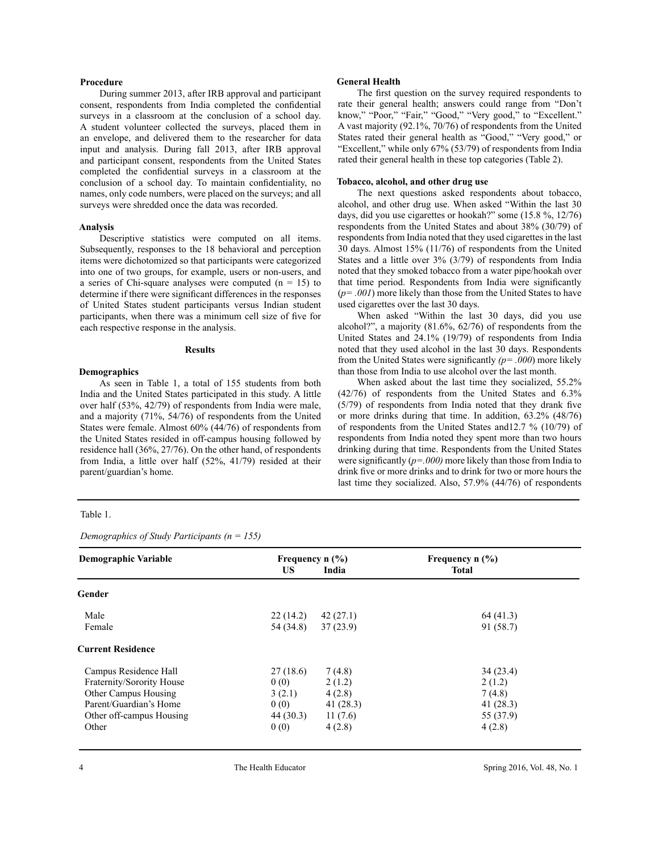## **Procedure**

During summer 2013, after IRB approval and participant consent, respondents from India completed the confidential surveys in a classroom at the conclusion of a school day. A student volunteer collected the surveys, placed them in an envelope, and delivered them to the researcher for data input and analysis. During fall 2013, after IRB approval and participant consent, respondents from the United States completed the confidential surveys in a classroom at the conclusion of a school day. To maintain confidentiality, no names, only code numbers, were placed on the surveys; and all surveys were shredded once the data was recorded.

#### **Analysis**

Descriptive statistics were computed on all items. Subsequently, responses to the 18 behavioral and perception items were dichotomized so that participants were categorized into one of two groups, for example, users or non-users, and a series of Chi-square analyses were computed  $(n = 15)$  to determine if there were significant differences in the responses of United States student participants versus Indian student participants, when there was a minimum cell size of five for each respective response in the analysis.

#### **Results**

#### **Demographics**

As seen in Table 1, a total of 155 students from both India and the United States participated in this study. A little over half (53%, 42/79) of respondents from India were male, and a majority (71%, 54/76) of respondents from the United States were female. Almost 60% (44/76) of respondents from the United States resided in off-campus housing followed by residence hall (36%, 27/76). On the other hand, of respondents from India, a little over half (52%, 41/79) resided at their parent/guardian's home.

#### Table 1.

*Demographics of Study Participants (n = 155)*

# **Demographic Variable Frequency n (%)** Frequency n (%) **Frequency n (%) US India Total Gender**  Male  $22(14.2)$   $42(27.1)$   $64(41.3)$ Female 54 (34.8) 37 (23.9) 91 (58.7) **Current Residence** Campus Residence Hall 27 (18.6) 7 (4.8) 34 (23.4) Fraternity/Sorority House  $0 \quad (0)$   $2 \quad (1.2)$   $2 \quad (1.2)$ Other Campus Housing  $3 (2.1)$   $4 (2.8)$   $7 (4.8)$ Parent/Guardian's Home 0 (0) 41 (28.3) 41 (28.3) Other off-campus Housing 44 (30.3) 11 (7.6) 55 (37.9)

Other  $0 (0)$   $4 (2.8)$   $4 (2.8)$ 

#### **General Health**

The first question on the survey required respondents to rate their general health; answers could range from "Don't know," "Poor," "Fair," "Good," "Very good," to "Excellent." A vast majority (92.1%, 70/76) of respondents from the United States rated their general health as "Good," "Very good," or "Excellent," while only 67% (53/79) of respondents from India rated their general health in these top categories (Table 2).

#### **Tobacco, alcohol, and other drug use**

The next questions asked respondents about tobacco, alcohol, and other drug use. When asked "Within the last 30 days, did you use cigarettes or hookah?" some (15.8 %, 12/76) respondents from the United States and about 38% (30/79) of respondents from India noted that they used cigarettes in the last 30 days. Almost 15% (11/76) of respondents from the United States and a little over 3% (3/79) of respondents from India noted that they smoked tobacco from a water pipe/hookah over that time period. Respondents from India were significantly (*p= .001*) more likely than those from the United States to have used cigarettes over the last 30 days.

When asked "Within the last 30 days, did you use alcohol?", a majority (81.6%, 62/76) of respondents from the United States and 24.1% (19/79) of respondents from India noted that they used alcohol in the last 30 days. Respondents from the United States were significantly *(p= .000*) more likely than those from India to use alcohol over the last month.

When asked about the last time they socialized, 55.2% (42/76) of respondents from the United States and 6.3% (5/79) of respondents from India noted that they drank five or more drinks during that time. In addition, 63.2% (48/76) of respondents from the United States and12.7 % (10/79) of respondents from India noted they spent more than two hours drinking during that time. Respondents from the United States were significantly (*p=.000)* more likely than those from India to drink five or more drinks and to drink for two or more hours the last time they socialized. Also, 57.9% (44/76) of respondents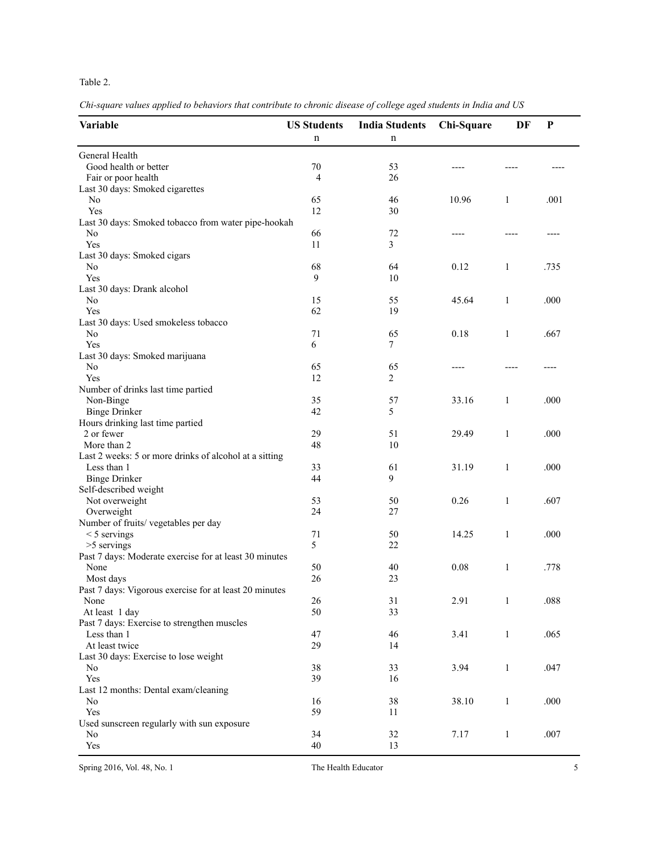# Table 2.

*Chi-square values applied to behaviors that contribute to chronic disease of college aged students in India and US*

| Variable                                                              | <b>US Students</b><br>n | <b>India Students</b><br>n | Chi-Square | DF           | P        |
|-----------------------------------------------------------------------|-------------------------|----------------------------|------------|--------------|----------|
| General Health                                                        |                         |                            |            |              |          |
| Good health or better                                                 | 70                      | 53                         |            |              |          |
| Fair or poor health                                                   | 4                       | 26                         |            |              |          |
| Last 30 days: Smoked cigarettes                                       |                         |                            |            |              |          |
| N <sub>o</sub>                                                        | 65                      | 46                         | 10.96      | 1            | .001     |
| Yes                                                                   | 12                      | 30                         |            |              |          |
| Last 30 days: Smoked tobacco from water pipe-hookah                   |                         |                            |            |              |          |
| No                                                                    | 66                      | 72                         |            |              |          |
| Yes                                                                   | 11                      | 3                          |            |              |          |
| Last 30 days: Smoked cigars                                           |                         |                            |            |              |          |
| No                                                                    | 68                      | 64                         | 0.12       | 1            | .735     |
| Yes                                                                   | 9                       | 10                         |            |              |          |
| Last 30 days: Drank alcohol                                           |                         |                            |            |              |          |
| No                                                                    | 15                      | 55                         | 45.64      | $\mathbf{1}$ | .000     |
| Yes                                                                   | 62                      | 19                         |            |              |          |
| Last 30 days: Used smokeless tobacco                                  |                         |                            |            |              |          |
| No                                                                    | 71                      | 65                         | 0.18       | $\mathbf{1}$ | .667     |
| Yes                                                                   | 6                       | 7                          |            |              |          |
| Last 30 days: Smoked marijuana                                        |                         |                            |            |              |          |
| N <sub>0</sub>                                                        | 65                      | 65                         |            |              |          |
| Yes                                                                   | 12                      | $\overline{2}$             |            |              |          |
| Number of drinks last time partied                                    |                         |                            |            |              |          |
| Non-Binge                                                             | 35                      | 57                         | 33.16      | 1            | .000     |
| <b>Binge Drinker</b>                                                  | 42                      | 5                          |            |              |          |
| Hours drinking last time partied                                      |                         |                            |            |              |          |
| 2 or fewer                                                            | 29                      | 51                         | 29.49      | $\mathbf{1}$ | .000     |
| More than 2                                                           | 48                      | 10                         |            |              |          |
|                                                                       |                         |                            |            |              |          |
| Last 2 weeks: 5 or more drinks of alcohol at a sitting<br>Less than 1 | 33                      | 61                         | 31.19      | 1            | .000     |
| <b>Binge Drinker</b>                                                  | 44                      | 9                          |            |              |          |
|                                                                       |                         |                            |            |              |          |
| Self-described weight<br>Not overweight                               | 53                      | 50                         | 0.26       | $\mathbf{1}$ | .607     |
| Overweight                                                            | 24                      | 27                         |            |              |          |
|                                                                       |                         |                            |            |              |          |
| Number of fruits/ vegetables per day                                  | 71                      | 50                         | 14.25      |              | .000     |
| $<$ 5 servings                                                        |                         |                            |            | $\mathbf{1}$ |          |
| >5 servings                                                           | 5                       | 22                         |            |              |          |
| Past 7 days: Moderate exercise for at least 30 minutes                |                         |                            |            |              |          |
| None                                                                  | 50                      | 40                         | 0.08       | $\mathbf{1}$ | .778     |
| Most days                                                             | 26                      | 23                         |            |              |          |
| Past 7 days: Vigorous exercise for at least 20 minutes                |                         |                            |            |              |          |
| None                                                                  | 26                      | 31                         | 2.91       | $\mathbf{1}$ | $.088\,$ |
| At least 1 day                                                        | 50                      | 33                         |            |              |          |
| Past 7 days: Exercise to strengthen muscles                           |                         |                            |            |              |          |
| Less than 1                                                           | 47                      | 46                         | 3.41       | $\mathbf{1}$ | .065     |
| At least twice                                                        | 29                      | 14                         |            |              |          |
| Last 30 days: Exercise to lose weight                                 |                         |                            |            |              |          |
| No                                                                    | 38                      | 33                         | 3.94       | 1            | .047     |
| Yes                                                                   | 39                      | 16                         |            |              |          |
| Last 12 months: Dental exam/cleaning                                  |                         |                            |            |              |          |
| No                                                                    | 16                      | 38                         | 38.10      | $\mathbf{1}$ | .000     |
| Yes                                                                   | 59                      | 11                         |            |              |          |
| Used sunscreen regularly with sun exposure                            |                         |                            |            |              |          |
| No                                                                    | 34                      | 32                         | 7.17       | $\mathbf{1}$ | .007     |
| Yes                                                                   | 40                      | 13                         |            |              |          |

Spring 2016, Vol. 48, No. 1 The Health Educator 5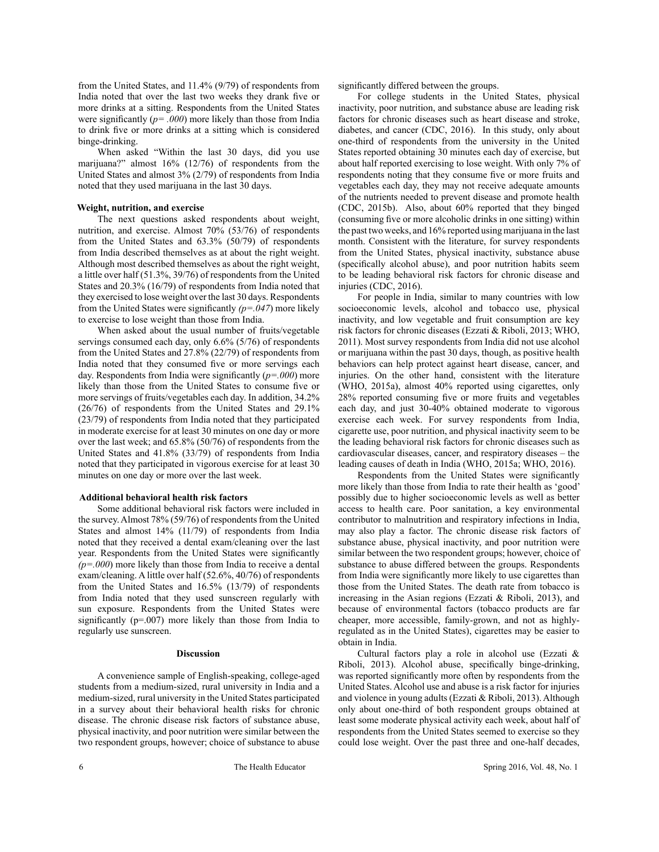from the United States, and 11.4% (9/79) of respondents from India noted that over the last two weeks they drank five or more drinks at a sitting. Respondents from the United States were significantly (*p= .000*) more likely than those from India to drink five or more drinks at a sitting which is considered binge-drinking.

When asked "Within the last 30 days, did you use marijuana?" almost 16% (12/76) of respondents from the United States and almost 3% (2/79) of respondents from India noted that they used marijuana in the last 30 days.

#### **Weight, nutrition, and exercise**

The next questions asked respondents about weight, nutrition, and exercise. Almost 70% (53/76) of respondents from the United States and 63.3% (50/79) of respondents from India described themselves as at about the right weight. Although most described themselves as about the right weight, a little over half (51.3%, 39/76) of respondents from the United States and 20.3% (16/79) of respondents from India noted that they exercised to lose weight over the last 30 days. Respondents from the United States were significantly *(p=.047*) more likely to exercise to lose weight than those from India.

When asked about the usual number of fruits/vegetable servings consumed each day, only 6.6% (5/76) of respondents from the United States and 27.8% (22/79) of respondents from India noted that they consumed five or more servings each day. Respondents from India were significantly (*p=.000*) more likely than those from the United States to consume five or more servings of fruits/vegetables each day. In addition, 34.2% (26/76) of respondents from the United States and 29.1% (23/79) of respondents from India noted that they participated in moderate exercise for at least 30 minutes on one day or more over the last week; and 65.8% (50/76) of respondents from the United States and 41.8% (33/79) of respondents from India noted that they participated in vigorous exercise for at least 30 minutes on one day or more over the last week.

### **Additional behavioral health risk factors**

Some additional behavioral risk factors were included in the survey. Almost 78% (59/76) of respondents from the United States and almost 14% (11/79) of respondents from India noted that they received a dental exam/cleaning over the last year. Respondents from the United States were significantly *(p=.000*) more likely than those from India to receive a dental exam/cleaning. A little over half (52.6%, 40/76) of respondents from the United States and 16.5% (13/79) of respondents from India noted that they used sunscreen regularly with sun exposure. Respondents from the United States were significantly (p=.007) more likely than those from India to regularly use sunscreen.

#### **Discussion**

A convenience sample of English-speaking, college-aged students from a medium-sized, rural university in India and a medium-sized, rural university in the United States participated in a survey about their behavioral health risks for chronic disease. The chronic disease risk factors of substance abuse, physical inactivity, and poor nutrition were similar between the two respondent groups, however; choice of substance to abuse significantly differed between the groups.

For college students in the United States, physical inactivity, poor nutrition, and substance abuse are leading risk factors for chronic diseases such as heart disease and stroke, diabetes, and cancer (CDC, 2016). In this study, only about one-third of respondents from the university in the United States reported obtaining 30 minutes each day of exercise, but about half reported exercising to lose weight. With only 7% of respondents noting that they consume five or more fruits and vegetables each day, they may not receive adequate amounts of the nutrients needed to prevent disease and promote health (CDC, 2015b). Also, about 60% reported that they binged (consuming five or more alcoholic drinks in one sitting) within the past two weeks, and 16% reported using marijuana in the last month. Consistent with the literature, for survey respondents from the United States, physical inactivity, substance abuse (specifically alcohol abuse), and poor nutrition habits seem to be leading behavioral risk factors for chronic disease and injuries (CDC, 2016).

For people in India, similar to many countries with low socioeconomic levels, alcohol and tobacco use, physical inactivity, and low vegetable and fruit consumption are key risk factors for chronic diseases (Ezzati & Riboli, 2013; WHO, 2011). Most survey respondents from India did not use alcohol or marijuana within the past 30 days, though, as positive health behaviors can help protect against heart disease, cancer, and injuries. On the other hand, consistent with the literature (WHO, 2015a), almost 40% reported using cigarettes, only 28% reported consuming five or more fruits and vegetables each day, and just 30-40% obtained moderate to vigorous exercise each week. For survey respondents from India, cigarette use, poor nutrition, and physical inactivity seem to be the leading behavioral risk factors for chronic diseases such as cardiovascular diseases, cancer, and respiratory diseases – the leading causes of death in India (WHO, 2015a; WHO, 2016).

Respondents from the United States were significantly more likely than those from India to rate their health as 'good' possibly due to higher socioeconomic levels as well as better access to health care. Poor sanitation, a key environmental contributor to malnutrition and respiratory infections in India, may also play a factor. The chronic disease risk factors of substance abuse, physical inactivity, and poor nutrition were similar between the two respondent groups; however, choice of substance to abuse differed between the groups. Respondents from India were significantly more likely to use cigarettes than those from the United States. The death rate from tobacco is increasing in the Asian regions (Ezzati & Riboli, 2013), and because of environmental factors (tobacco products are far cheaper, more accessible, family-grown, and not as highlyregulated as in the United States), cigarettes may be easier to obtain in India.

Cultural factors play a role in alcohol use (Ezzati & Riboli, 2013). Alcohol abuse, specifically binge-drinking, was reported significantly more often by respondents from the United States. Alcohol use and abuse is a risk factor for injuries and violence in young adults (Ezzati & Riboli, 2013). Although only about one-third of both respondent groups obtained at least some moderate physical activity each week, about half of respondents from the United States seemed to exercise so they could lose weight. Over the past three and one-half decades,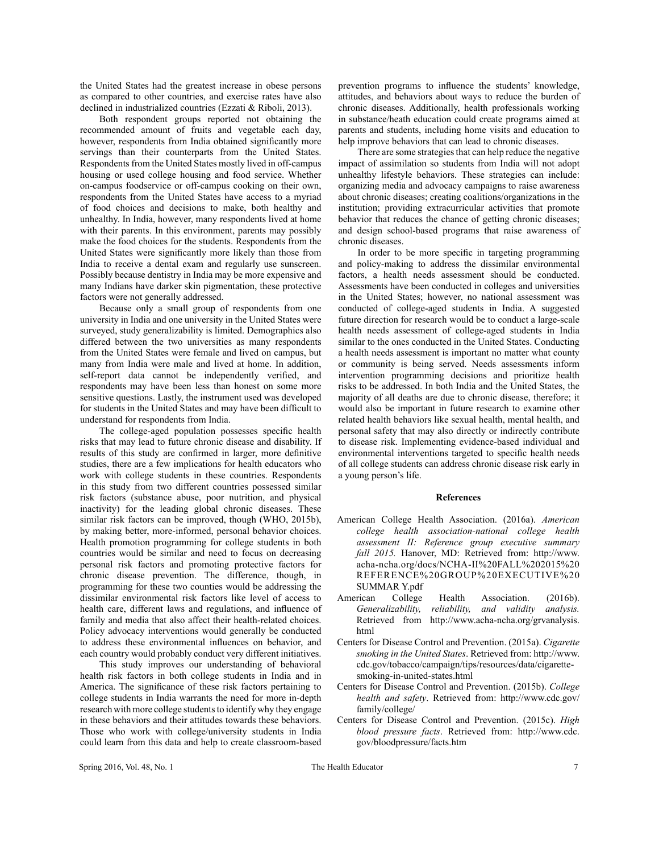the United States had the greatest increase in obese persons as compared to other countries, and exercise rates have also declined in industrialized countries (Ezzati & Riboli, 2013).

Both respondent groups reported not obtaining the recommended amount of fruits and vegetable each day, however, respondents from India obtained significantly more servings than their counterparts from the United States. Respondents from the United States mostly lived in off-campus housing or used college housing and food service. Whether on-campus foodservice or off-campus cooking on their own, respondents from the United States have access to a myriad of food choices and decisions to make, both healthy and unhealthy. In India, however, many respondents lived at home with their parents. In this environment, parents may possibly make the food choices for the students. Respondents from the United States were significantly more likely than those from India to receive a dental exam and regularly use sunscreen. Possibly because dentistry in India may be more expensive and many Indians have darker skin pigmentation, these protective factors were not generally addressed.

Because only a small group of respondents from one university in India and one university in the United States were surveyed, study generalizability is limited. Demographics also differed between the two universities as many respondents from the United States were female and lived on campus, but many from India were male and lived at home. In addition, self-report data cannot be independently verified, and respondents may have been less than honest on some more sensitive questions. Lastly, the instrument used was developed for students in the United States and may have been difficult to understand for respondents from India.

The college-aged population possesses specific health risks that may lead to future chronic disease and disability. If results of this study are confirmed in larger, more definitive studies, there are a few implications for health educators who work with college students in these countries. Respondents in this study from two different countries possessed similar risk factors (substance abuse, poor nutrition, and physical inactivity) for the leading global chronic diseases. These similar risk factors can be improved, though (WHO, 2015b), by making better, more-informed, personal behavior choices. Health promotion programming for college students in both countries would be similar and need to focus on decreasing personal risk factors and promoting protective factors for chronic disease prevention. The difference, though, in programming for these two counties would be addressing the dissimilar environmental risk factors like level of access to health care, different laws and regulations, and influence of family and media that also affect their health-related choices. Policy advocacy interventions would generally be conducted to address these environmental influences on behavior, and each country would probably conduct very different initiatives.

This study improves our understanding of behavioral health risk factors in both college students in India and in America. The significance of these risk factors pertaining to college students in India warrants the need for more in-depth research with more college students to identify why they engage in these behaviors and their attitudes towards these behaviors. Those who work with college/university students in India could learn from this data and help to create classroom-based prevention programs to influence the students' knowledge, attitudes, and behaviors about ways to reduce the burden of chronic diseases. Additionally, health professionals working in substance/heath education could create programs aimed at parents and students, including home visits and education to help improve behaviors that can lead to chronic diseases.

There are some strategies that can help reduce the negative impact of assimilation so students from India will not adopt unhealthy lifestyle behaviors. These strategies can include: organizing media and advocacy campaigns to raise awareness about chronic diseases; creating coalitions/organizations in the institution; providing extracurricular activities that promote behavior that reduces the chance of getting chronic diseases; and design school-based programs that raise awareness of chronic diseases.

In order to be more specific in targeting programming and policy-making to address the dissimilar environmental factors, a health needs assessment should be conducted. Assessments have been conducted in colleges and universities in the United States; however, no national assessment was conducted of college-aged students in India. A suggested future direction for research would be to conduct a large-scale health needs assessment of college-aged students in India similar to the ones conducted in the United States. Conducting a health needs assessment is important no matter what county or community is being served. Needs assessments inform intervention programming decisions and prioritize health risks to be addressed. In both India and the United States, the majority of all deaths are due to chronic disease, therefore; it would also be important in future research to examine other related health behaviors like sexual health, mental health, and personal safety that may also directly or indirectly contribute to disease risk. Implementing evidence-based individual and environmental interventions targeted to specific health needs of all college students can address chronic disease risk early in a young person's life.

#### **References**

- American College Health Association. (2016a). *American college health association-national college health assessment II: Reference group executive summary fall 2015.* Hanover, MD: Retrieved from: http://www. acha-ncha.org/docs/NCHA-II%20FALL%202015%20 REFERENCE%20GROUP%20EXECUTIVE%20 SUMMAR Y.pdf
- American College Health Association. (2016b). *Generalizability, reliability, and validity analysis.* Retrieved from http://www.acha-ncha.org/grvanalysis. html
- Centers for Disease Control and Prevention. (2015a). *Cigarette smoking in the United States*. Retrieved from: http://www. cdc.gov/tobacco/campaign/tips/resources/data/cigarettesmoking-in-united-states.html
- Centers for Disease Control and Prevention. (2015b). *College health and safety*. Retrieved from: http://www.cdc.gov/ family/college/
- Centers for Disease Control and Prevention. (2015c). *High blood pressure facts*. Retrieved from: http://www.cdc. gov/bloodpressure/facts.htm